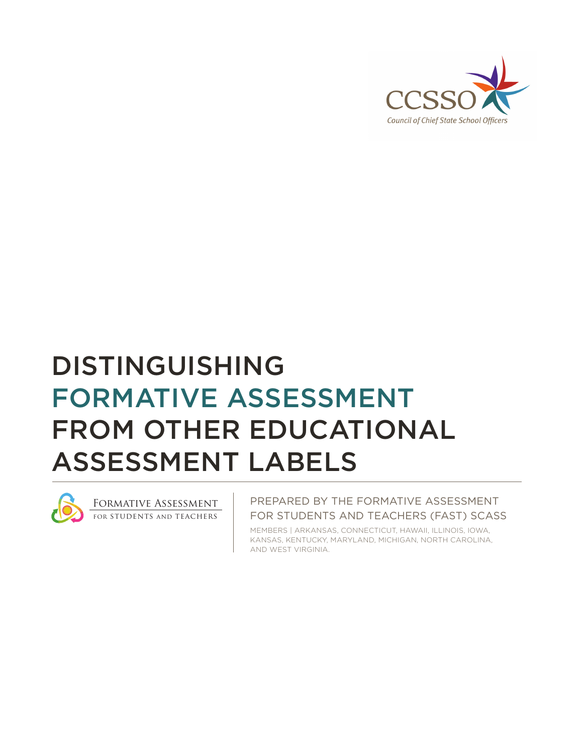

# DISTINGUISHING FORMATIVE ASSESSMENT FROM OTHER EDUCATIONAL ASSESSMENT LABELS



Formative Assessment for students and teachers

PREPARED BY THE FORMATIVE ASSESSMENT FOR STUDENTS AND TEACHERS (FAST) SCASS

MEMBERS | ARKANSAS, CONNECTICUT, HAWAII, ILLINOIS, IOWA, KANSAS, KENTUCKY, MARYLAND, MICHIGAN, NORTH CAROLINA, AND WEST VIRGINIA.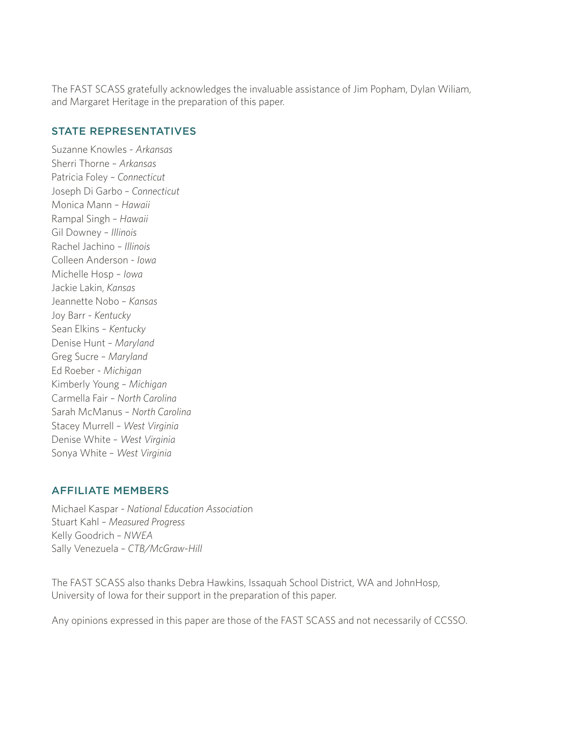The FAST SCASS gratefully acknowledges the invaluable assistance of Jim Popham, Dylan Wiliam, and Margaret Heritage in the preparation of this paper.

#### STATE REPRESENTATIVES

Suzanne Knowles - *Arkansas*  Sherri Thorne – *Arkansas*  Patricia Foley – *Connecticut*  Joseph Di Garbo – *Connecticut*  Monica Mann – *Hawaii*  Rampal Singh – *Hawaii*  Gil Downey – *Illinois*  Rachel Jachino – *Illinois*  Colleen Anderson - *Iowa*  Michelle Hosp – *Iowa*  Jackie Lakin, *Kansas*  Jeannette Nobo – *Kansas*  Joy Barr - *Kentucky*  Sean Elkins – *Kentucky*  Denise Hunt – *Maryland*  Greg Sucre – *Maryland*  Ed Roeber - *Michigan*  Kimberly Young – *Michigan*  Carmella Fair – *North Carolina*  Sarah McManus – *North Carolina*  Stacey Murrell – *West Virginia*  Denise White – *West Virginia*  Sonya White – *West Virginia* 

### AFFILIATE MEMBERS

Michael Kaspar - *National Education Associatio*n Stuart Kahl – *Measured Progress*  Kelly Goodrich – *NWEA*  Sally Venezuela – *CTB/McGraw-Hill* 

The FAST SCASS also thanks Debra Hawkins, Issaquah School District, WA and JohnHosp, University of Iowa for their support in the preparation of this paper.

Any opinions expressed in this paper are those of the FAST SCASS and not necessarily of CCSSO.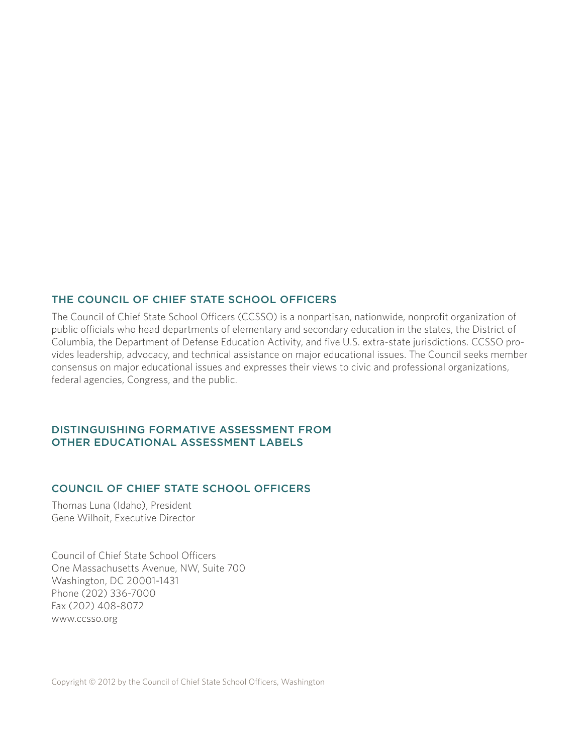#### THE COUNCIL OF CHIEF STATE SCHOOL OFFICERS

The Council of Chief State School Officers (CCSSO) is a nonpartisan, nationwide, nonprofit organization of public officials who head departments of elementary and secondary education in the states, the District of Columbia, the Department of Defense Education Activity, and five U.S. extra-state jurisdictions. CCSSO provides leadership, advocacy, and technical assistance on major educational issues. The Council seeks member consensus on major educational issues and expresses their views to civic and professional organizations, federal agencies, Congress, and the public.

#### DISTINGUISHING FORMATIVE ASSESSMENT FROM OTHER EDUCATIONAL ASSESSMENT LABELS

#### COUNCIL OF CHIEF STATE SCHOOL OFFICERS

Thomas Luna (Idaho), President Gene Wilhoit, Executive Director

Council of Chief State School Officers One Massachusetts Avenue, NW, Suite 700 Washington, DC 20001-1431 Phone (202) 336-7000 Fax (202) 408-8072 www.ccsso.org

Copyright © 2012 by the Council of Chief State School Officers, Washington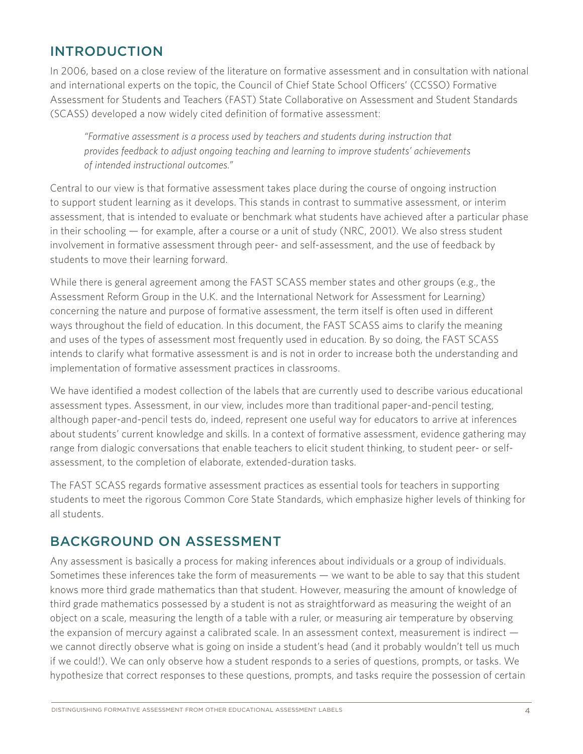# INTRODUCTION

In 2006, based on a close review of the literature on formative assessment and in consultation with national and international experts on the topic, the Council of Chief State School Officers' (CCSSO) Formative Assessment for Students and Teachers (FAST) State Collaborative on Assessment and Student Standards (SCASS) developed a now widely cited definition of formative assessment:

*"Formative assessment is a process used by teachers and students during instruction that provides feedback to adjust ongoing teaching and learning to improve students' achievements of intended instructional outcomes."* 

Central to our view is that formative assessment takes place during the course of ongoing instruction to support student learning as it develops. This stands in contrast to summative assessment, or interim assessment, that is intended to evaluate or benchmark what students have achieved after a particular phase in their schooling — for example, after a course or a unit of study (NRC, 2001). We also stress student involvement in formative assessment through peer- and self-assessment, and the use of feedback by students to move their learning forward.

While there is general agreement among the FAST SCASS member states and other groups (e.g., the Assessment Reform Group in the U.K. and the International Network for Assessment for Learning) concerning the nature and purpose of formative assessment, the term itself is often used in different ways throughout the field of education. In this document, the FAST SCASS aims to clarify the meaning and uses of the types of assessment most frequently used in education. By so doing, the FAST SCASS intends to clarify what formative assessment is and is not in order to increase both the understanding and implementation of formative assessment practices in classrooms.

We have identified a modest collection of the labels that are currently used to describe various educational assessment types. Assessment, in our view, includes more than traditional paper-and-pencil testing, although paper-and-pencil tests do, indeed, represent one useful way for educators to arrive at inferences about students' current knowledge and skills. In a context of formative assessment, evidence gathering may range from dialogic conversations that enable teachers to elicit student thinking, to student peer- or selfassessment, to the completion of elaborate, extended-duration tasks.

The FAST SCASS regards formative assessment practices as essential tools for teachers in supporting students to meet the rigorous Common Core State Standards, which emphasize higher levels of thinking for all students.

## BACKGROUND ON ASSESSMENT

Any assessment is basically a process for making inferences about individuals or a group of individuals. Sometimes these inferences take the form of measurements — we want to be able to say that this student knows more third grade mathematics than that student. However, measuring the amount of knowledge of third grade mathematics possessed by a student is not as straightforward as measuring the weight of an object on a scale, measuring the length of a table with a ruler, or measuring air temperature by observing the expansion of mercury against a calibrated scale. In an assessment context, measurement is indirect we cannot directly observe what is going on inside a student's head (and it probably wouldn't tell us much if we could!). We can only observe how a student responds to a series of questions, prompts, or tasks. We hypothesize that correct responses to these questions, prompts, and tasks require the possession of certain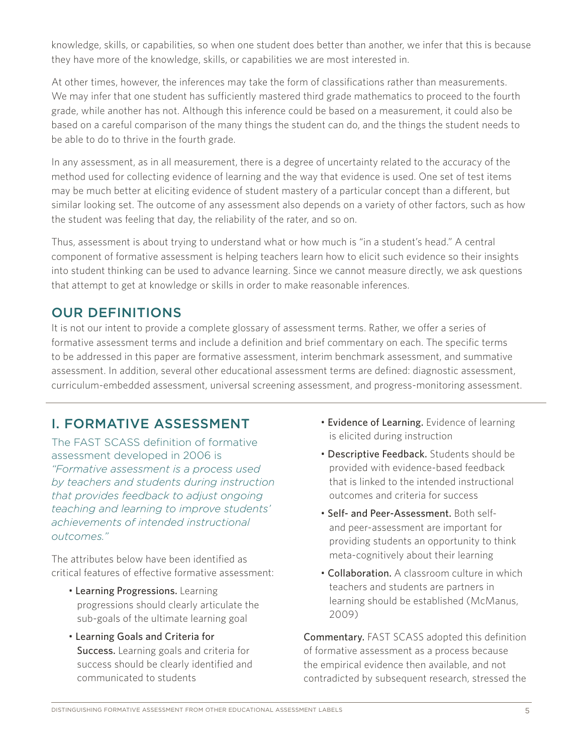knowledge, skills, or capabilities, so when one student does better than another, we infer that this is because they have more of the knowledge, skills, or capabilities we are most interested in.

At other times, however, the inferences may take the form of classifications rather than measurements. We may infer that one student has sufficiently mastered third grade mathematics to proceed to the fourth grade, while another has not. Although this inference could be based on a measurement, it could also be based on a careful comparison of the many things the student can do, and the things the student needs to be able to do to thrive in the fourth grade.

In any assessment, as in all measurement, there is a degree of uncertainty related to the accuracy of the method used for collecting evidence of learning and the way that evidence is used. One set of test items may be much better at eliciting evidence of student mastery of a particular concept than a different, but similar looking set. The outcome of any assessment also depends on a variety of other factors, such as how the student was feeling that day, the reliability of the rater, and so on.

Thus, assessment is about trying to understand what or how much is "in a student's head." A central component of formative assessment is helping teachers learn how to elicit such evidence so their insights into student thinking can be used to advance learning. Since we cannot measure directly, we ask questions that attempt to get at knowledge or skills in order to make reasonable inferences.

## OUR DEFINITIONS

It is not our intent to provide a complete glossary of assessment terms. Rather, we offer a series of formative assessment terms and include a definition and brief commentary on each. The specific terms to be addressed in this paper are formative assessment, interim benchmark assessment, and summative assessment. In addition, several other educational assessment terms are defined: diagnostic assessment, curriculum-embedded assessment, universal screening assessment, and progress-monitoring assessment.

# I. FORMATIVE ASSESSMENT

The FAST SCASS definition of formative assessment developed in 2006 is *"Formative assessment is a process used by teachers and students during instruction that provides feedback to adjust ongoing teaching and learning to improve students' achievements of intended instructional outcomes."* 

The attributes below have been identified as critical features of effective formative assessment:

- Learning Progressions. Learning progressions should clearly articulate the sub-goals of the ultimate learning goal
- Learning Goals and Criteria for Success. Learning goals and criteria for success should be clearly identified and communicated to students
- Evidence of Learning. Evidence of learning is elicited during instruction
- Descriptive Feedback. Students should be provided with evidence-based feedback that is linked to the intended instructional outcomes and criteria for success
- Self- and Peer-Assessment. Both selfand peer-assessment are important for providing students an opportunity to think meta-cognitively about their learning
- Collaboration. A classroom culture in which teachers and students are partners in learning should be established (McManus, 2009)

Commentary. FAST SCASS adopted this definition of formative assessment as a process because the empirical evidence then available, and not contradicted by subsequent research, stressed the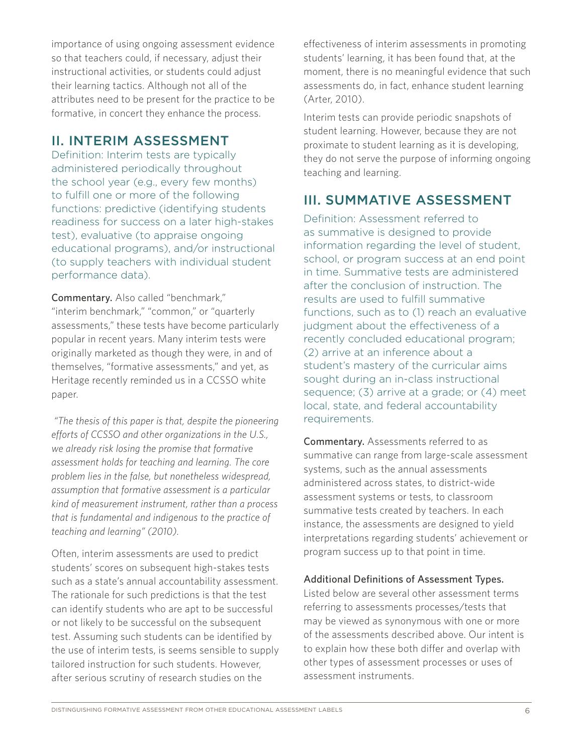importance of using ongoing assessment evidence so that teachers could, if necessary, adjust their instructional activities, or students could adjust their learning tactics. Although not all of the attributes need to be present for the practice to be formative, in concert they enhance the process.

## II. INTERIM ASSESSMENT

Definition: Interim tests are typically administered periodically throughout the school year (e.g., every few months) to fulfill one or more of the following functions: predictive (identifying students readiness for success on a later high-stakes test), evaluative (to appraise ongoing educational programs), and/or instructional (to supply teachers with individual student performance data).

Commentary. Also called "benchmark," "interim benchmark," "common," or "quarterly assessments," these tests have become particularly popular in recent years. Many interim tests were originally marketed as though they were, in and of themselves, "formative assessments," and yet, as Heritage recently reminded us in a CCSSO white paper.

*"The thesis of this paper is that, despite the pioneering efforts of CCSSO and other organizations in the U.S., we already risk losing the promise that formative assessment holds for teaching and learning. The core problem lies in the false, but nonetheless widespread, assumption that formative assessment is a particular kind of measurement instrument, rather than a process that is fundamental and indigenous to the practice of teaching and learning" (2010).* 

Often, interim assessments are used to predict students' scores on subsequent high-stakes tests such as a state's annual accountability assessment. The rationale for such predictions is that the test can identify students who are apt to be successful or not likely to be successful on the subsequent test. Assuming such students can be identified by the use of interim tests, is seems sensible to supply tailored instruction for such students. However, after serious scrutiny of research studies on the

effectiveness of interim assessments in promoting students' learning, it has been found that, at the moment, there is no meaningful evidence that such assessments do, in fact, enhance student learning (Arter, 2010).

Interim tests can provide periodic snapshots of student learning. However, because they are not proximate to student learning as it is developing, they do not serve the purpose of informing ongoing teaching and learning.

# III. SUMMATIVE ASSESSMENT

Definition: Assessment referred to as summative is designed to provide information regarding the level of student, school, or program success at an end point in time. Summative tests are administered after the conclusion of instruction. The results are used to fulfill summative functions, such as to (1) reach an evaluative judgment about the effectiveness of a recently concluded educational program; (2) arrive at an inference about a student's mastery of the curricular aims sought during an in-class instructional sequence; (3) arrive at a grade; or (4) meet local, state, and federal accountability requirements.

Commentary. Assessments referred to as summative can range from large-scale assessment systems, such as the annual assessments administered across states, to district-wide assessment systems or tests, to classroom summative tests created by teachers. In each instance, the assessments are designed to yield interpretations regarding students' achievement or program success up to that point in time.

### Additional Definitions of Assessment Types.

Listed below are several other assessment terms referring to assessments processes/tests that may be viewed as synonymous with one or more of the assessments described above. Our intent is to explain how these both differ and overlap with other types of assessment processes or uses of assessment instruments.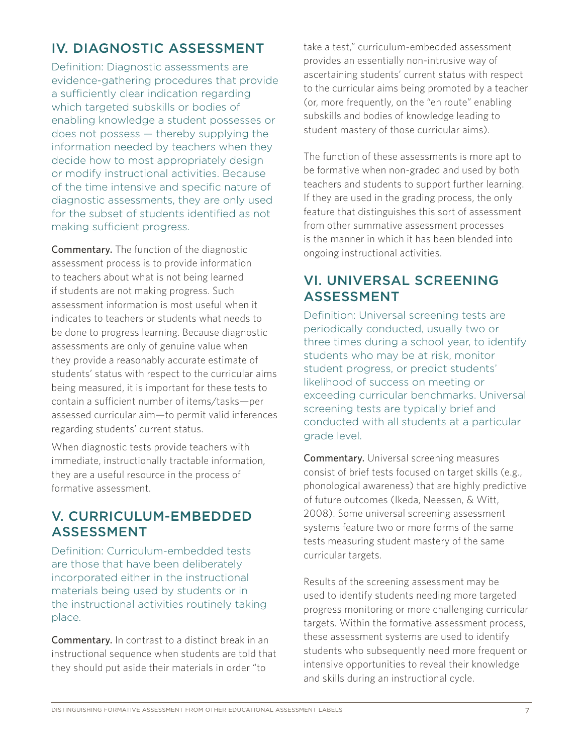# IV. DIAGNOSTIC ASSESSMENT

Definition: Diagnostic assessments are evidence-gathering procedures that provide a sufficiently clear indication regarding which targeted subskills or bodies of enabling knowledge a student possesses or does not possess — thereby supplying the information needed by teachers when they decide how to most appropriately design or modify instructional activities. Because of the time intensive and specific nature of diagnostic assessments, they are only used for the subset of students identified as not making sufficient progress.

Commentary. The function of the diagnostic assessment process is to provide information to teachers about what is not being learned if students are not making progress. Such assessment information is most useful when it indicates to teachers or students what needs to be done to progress learning. Because diagnostic assessments are only of genuine value when they provide a reasonably accurate estimate of students' status with respect to the curricular aims being measured, it is important for these tests to contain a sufficient number of items/tasks—per assessed curricular aim—to permit valid inferences regarding students' current status.

When diagnostic tests provide teachers with immediate, instructionally tractable information, they are a useful resource in the process of formative assessment.

# V. CURRICULUM-EMBEDDED<br>ASSESSMENT

Definition: Curriculum-embedded tests are those that have been deliberately incorporated either in the instructional materials being used by students or in the instructional activities routinely taking place.

Commentary. In contrast to a distinct break in an instructional sequence when students are told that they should put aside their materials in order "to

take a test," curriculum-embedded assessment provides an essentially non-intrusive way of ascertaining students' current status with respect to the curricular aims being promoted by a teacher (or, more frequently, on the "en route" enabling subskills and bodies of knowledge leading to student mastery of those curricular aims).

The function of these assessments is more apt to be formative when non-graded and used by both teachers and students to support further learning. If they are used in the grading process, the only feature that distinguishes this sort of assessment from other summative assessment processes is the manner in which it has been blended into ongoing instructional activities.

# VI. UNIVERSAL SCREENING ASSESSMENT

Definition: Universal screening tests are periodically conducted, usually two or three times during a school year, to identify students who may be at risk, monitor student progress, or predict students' likelihood of success on meeting or exceeding curricular benchmarks. Universal screening tests are typically brief and conducted with all students at a particular grade level.

Commentary. Universal screening measures consist of brief tests focused on target skills (e.g., phonological awareness) that are highly predictive of future outcomes (Ikeda, Neessen, & Witt, 2008). Some universal screening assessment systems feature two or more forms of the same tests measuring student mastery of the same curricular targets.

Results of the screening assessment may be used to identify students needing more targeted progress monitoring or more challenging curricular targets. Within the formative assessment process, these assessment systems are used to identify students who subsequently need more frequent or intensive opportunities to reveal their knowledge and skills during an instructional cycle.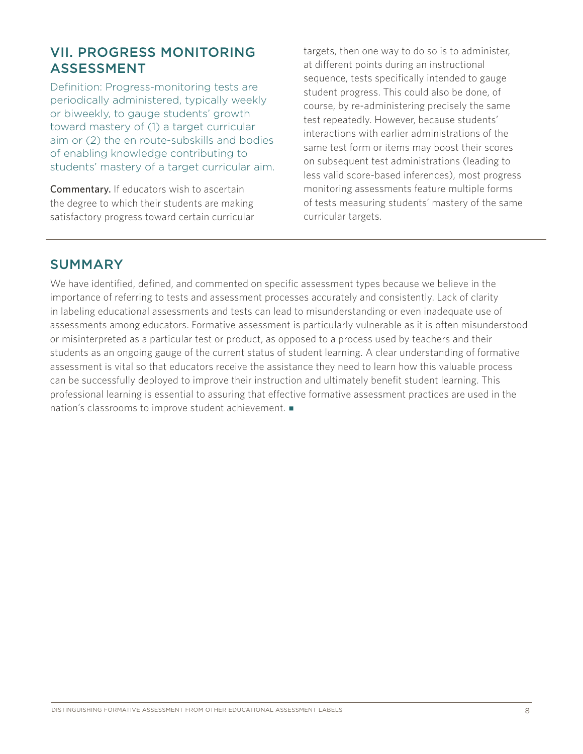# ASSESSMENT

Definition: Progress-monitoring tests are periodically administered, typically weekly or biweekly, to gauge students' growth toward mastery of (1) a target curricular aim or (2) the en route-subskills and bodies of enabling knowledge contributing to students' mastery of a target curricular aim.

Commentary. If educators wish to ascertain the degree to which their students are making satisfactory progress toward certain curricular

VII. PROGRESS MONITORING targets, then one way to do so is to administer, at different points during an instructional sequence, tests specifically intended to gauge student progress. This could also be done, of course, by re-administering precisely the same test repeatedly. However, because students' interactions with earlier administrations of the same test form or items may boost their scores on subsequent test administrations (leading to less valid score-based inferences), most progress monitoring assessments feature multiple forms of tests measuring students' mastery of the same curricular targets.

### SUMMARY

We have identified, defined, and commented on specific assessment types because we believe in the importance of referring to tests and assessment processes accurately and consistently. Lack of clarity in labeling educational assessments and tests can lead to misunderstanding or even inadequate use of assessments among educators. Formative assessment is particularly vulnerable as it is often misunderstood or misinterpreted as a particular test or product, as opposed to a process used by teachers and their students as an ongoing gauge of the current status of student learning. A clear understanding of formative assessment is vital so that educators receive the assistance they need to learn how this valuable process can be successfully deployed to improve their instruction and ultimately benefit student learning. This professional learning is essential to assuring that effective formative assessment practices are used in the nation's classrooms to improve student achievement.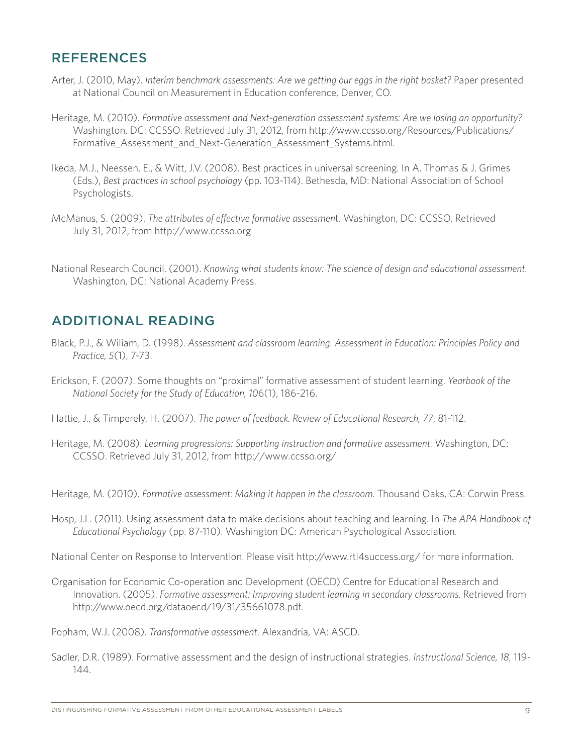## REFERENCES

- Arter, J. (2010, May). *Interim benchmark assessments: Are we getting our eggs in the right basket?* Paper presented at National Council on Measurement in Education conference, Denver, CO.
- Heritage, M. (2010). *Formative assessment and Next-generation assessment systems: Are we losing an opportunity?*  Washington, DC: CCSSO. Retrieved July 31, 2012, from http://www.ccsso.org/Resources/Publications/ Formative Assessment and Next-Generation Assessment Systems.html.
- Ikeda, M.J., Neessen, E., & Witt, J.V. (2008). Best practices in universal screening. In A. Thomas & J. Grimes (Eds.), *Best practices in school psychology* (pp. 103-114). Bethesda, MD: National Association of School Psychologists.
- McManus, S. (2009). *The attributes of effective formative assessmen*t. Washington, DC: CCSSO. Retrieved July 31, 2012, from http://www.ccsso.org
- National Research Council. (2001). *Knowing what students know: The science of design and educational assessment.*  Washington, DC: National Academy Press.

## ADDITIONAL READING

- Black, P.J., & Wiliam, D. (1998). *Assessment and classroom learning. Assessment in Education: Principles Policy and Practice, 5*(1), 7-73.
- Erickson, F. (2007). Some thoughts on "proximal" formative assessment of student learning. *Yearbook of the National Society for the Study of Education, 10*6(1), 186-216.
- Hattie, J., & Timperely, H. (2007). *The power of feedback. Review of Educational Research, 77*, 81-112.
- Heritage, M. (2008). *Learning progressions: Supporting instruction and formative assessment.* Washington, DC: CCSSO. Retrieved July 31, 2012, from http://www.ccsso.org/

Heritage, M. (2010). *Formative assessment: Making it happen in the classroom.* Thousand Oaks, CA: Corwin Press.

Hosp, J.L. (2011). Using assessment data to make decisions about teaching and learning. In *The APA Handbook of Educational Psychology* (pp. 87-110). Washington DC: American Psychological Association.

National Center on Response to Intervention. Please visit http://www.rti4success.org/ for more information.

Organisation for Economic Co-operation and Development (OECD) Centre for Educational Research and Innovation. (2005). *Formative assessment: Improving student learning in secondary classrooms.* Retrieved from http://www.oecd.org/dataoecd/19/31/35661078.pdf.

Popham, W.J. (2008). *Transformative assessment*. Alexandria, VA: ASCD.

Sadler, D.R. (1989). Formative assessment and the design of instructional strategies. *Instructional Science, 18*, 119 144.